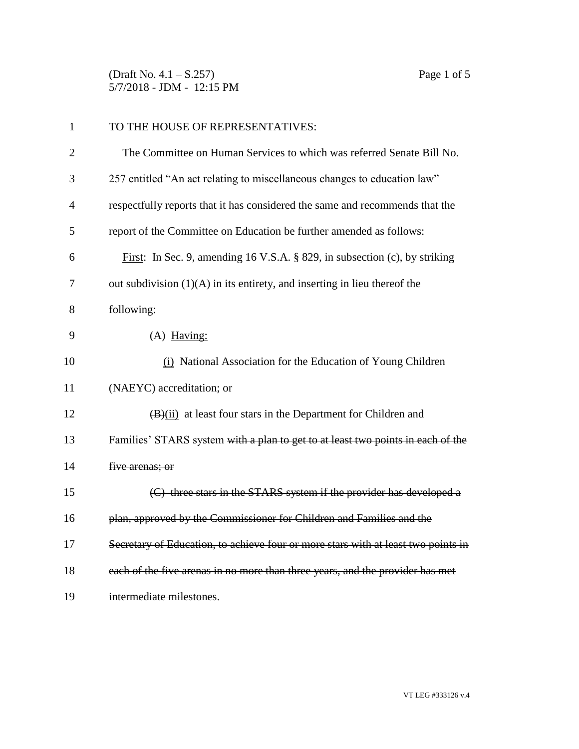(Draft No. 4.1 – S.257) Page 1 of 5 5/7/2018 - JDM - 12:15 PM

| $\mathbf{1}$   | TO THE HOUSE OF REPRESENTATIVES:                                                  |
|----------------|-----------------------------------------------------------------------------------|
| $\overline{2}$ | The Committee on Human Services to which was referred Senate Bill No.             |
| 3              | 257 entitled "An act relating to miscellaneous changes to education law"          |
| $\overline{4}$ | respectfully reports that it has considered the same and recommends that the      |
| 5              | report of the Committee on Education be further amended as follows:               |
| 6              | First: In Sec. 9, amending 16 V.S.A. § 829, in subsection (c), by striking        |
| 7              | out subdivision $(1)(A)$ in its entirety, and inserting in lieu thereof the       |
| 8              | following:                                                                        |
| 9              | $(A)$ Having:                                                                     |
| 10             | (i) National Association for the Education of Young Children                      |
| 11             | (NAEYC) accreditation; or                                                         |
| 12             | $(B)(ii)$ at least four stars in the Department for Children and                  |
| 13             | Families' STARS system with a plan to get to at least two points in each of the   |
| 14             | five arenas; or                                                                   |
| 15             | (C) three stars in the STARS system if the provider has developed a               |
| 16             | plan, approved by the Commissioner for Children and Families and the              |
| 17             | Secretary of Education, to achieve four or more stars with at least two points in |
| 18             | each of the five arenas in no more than three years, and the provider has met     |
| 19             | intermediate milestones.                                                          |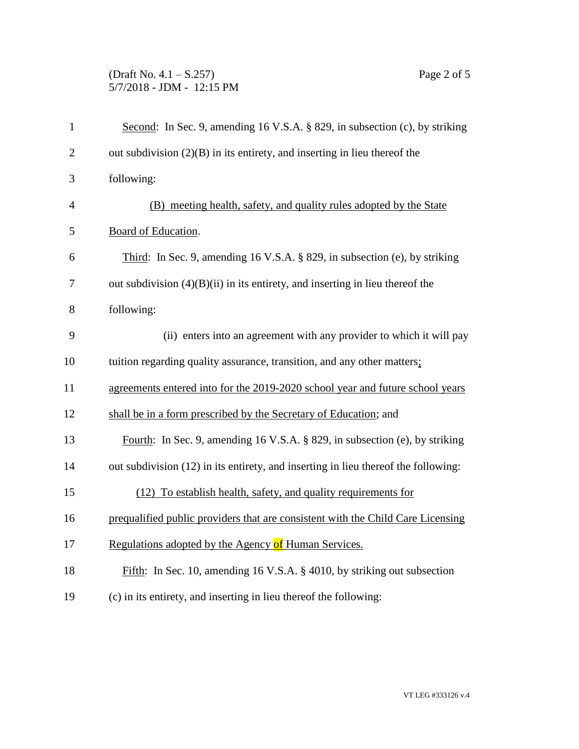## (Draft No. 4.1 – S.257) Page 2 of 5 5/7/2018 - JDM - 12:15 PM

| $\mathbf{1}$   | Second: In Sec. 9, amending 16 V.S.A. § 829, in subsection (c), by striking        |
|----------------|------------------------------------------------------------------------------------|
| $\overline{2}$ | out subdivision $(2)(B)$ in its entirety, and inserting in lieu thereof the        |
| 3              | following:                                                                         |
| $\overline{4}$ | (B) meeting health, safety, and quality rules adopted by the State                 |
| 5              | Board of Education.                                                                |
| 6              | Third: In Sec. 9, amending 16 V.S.A. § 829, in subsection (e), by striking         |
| 7              | out subdivision $(4)(B)(ii)$ in its entirety, and inserting in lieu thereof the    |
| 8              | following:                                                                         |
| 9              | (ii) enters into an agreement with any provider to which it will pay               |
| 10             | tuition regarding quality assurance, transition, and any other matters;            |
| 11             | agreements entered into for the 2019-2020 school year and future school years      |
| 12             | shall be in a form prescribed by the Secretary of Education; and                   |
| 13             | Fourth: In Sec. 9, amending 16 V.S.A. § 829, in subsection (e), by striking        |
| 14             | out subdivision (12) in its entirety, and inserting in lieu thereof the following: |
| 15             | (12) To establish health, safety, and quality requirements for                     |
| 16             | prequalified public providers that are consistent with the Child Care Licensing    |
| 17             | Regulations adopted by the Agency of Human Services.                               |
| 18             | Fifth: In Sec. 10, amending 16 V.S.A. § 4010, by striking out subsection           |
| 19             | (c) in its entirety, and inserting in lieu thereof the following:                  |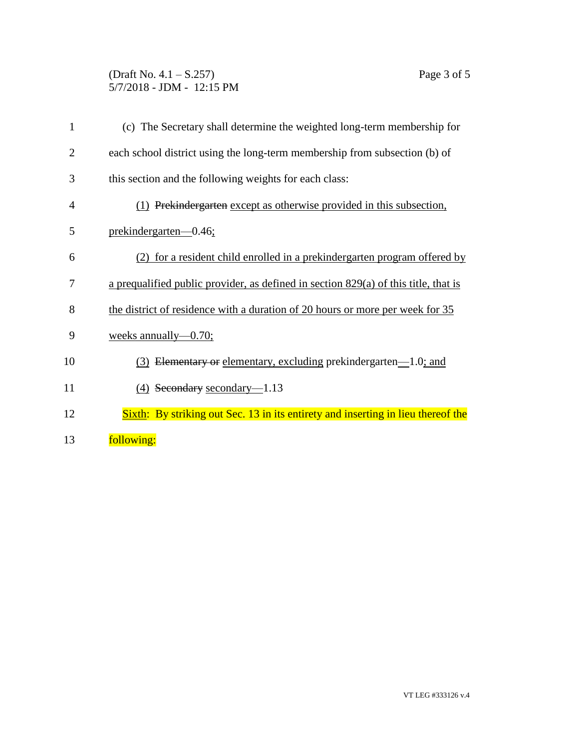## (Draft No. 4.1 – S.257) Page 3 of 5 5/7/2018 - JDM - 12:15 PM

| $\mathbf{1}$   | (c) The Secretary shall determine the weighted long-term membership for             |
|----------------|-------------------------------------------------------------------------------------|
| $\overline{2}$ | each school district using the long-term membership from subsection (b) of          |
| 3              | this section and the following weights for each class:                              |
| 4              | (1) Prekindergarten except as otherwise provided in this subsection,                |
| 5              | prekindergarten-0.46;                                                               |
| 6              | (2) for a resident child enrolled in a prekindergarten program offered by           |
| 7              | a prequalified public provider, as defined in section 829(a) of this title, that is |
| 8              | the district of residence with a duration of 20 hours or more per week for 35       |
| 9              | weeks annually— $0.70$ ;                                                            |
| 10             | (3) Elementary or elementary, excluding prekindergarten—1.0; and                    |
| 11             | $(4)$ Secondary secondary-1.13                                                      |
| 12             | Sixth: By striking out Sec. 13 in its entirety and inserting in lieu thereof the    |
| 13             | following:                                                                          |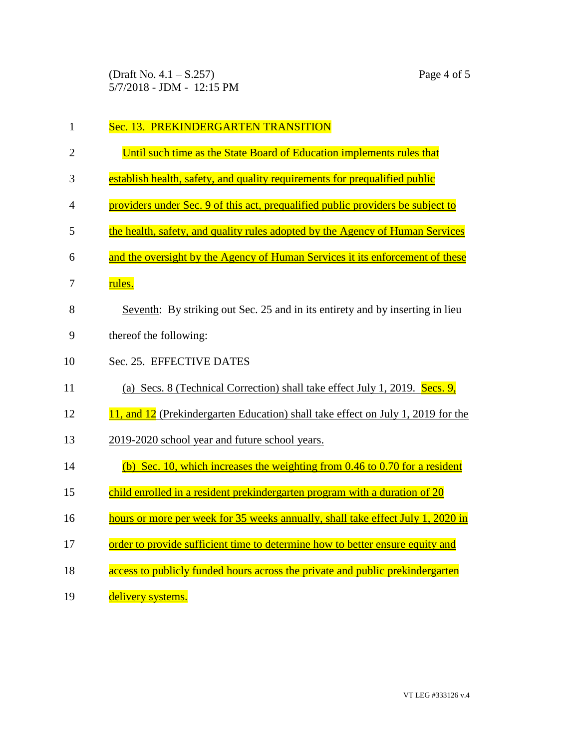(Draft No. 4.1 – S.257) Page 4 of 5 5/7/2018 - JDM - 12:15 PM

| $\mathbf{1}$   | Sec. 13. PREKINDERGARTEN TRANSITION                                              |
|----------------|----------------------------------------------------------------------------------|
| $\overline{2}$ | Until such time as the State Board of Education implements rules that            |
| 3              | establish health, safety, and quality requirements for prequalified public       |
| 4              | providers under Sec. 9 of this act, prequalified public providers be subject to  |
| 5              | the health, safety, and quality rules adopted by the Agency of Human Services    |
| 6              | and the oversight by the Agency of Human Services it its enforcement of these    |
| 7              | rules.                                                                           |
| 8              | Seventh: By striking out Sec. 25 and in its entirety and by inserting in lieu    |
| 9              | thereof the following:                                                           |
| 10             | Sec. 25. EFFECTIVE DATES                                                         |
| 11             | (a) Secs. 8 (Technical Correction) shall take effect July 1, 2019. Secs. 9,      |
| 12             | 11, and 12 (Prekindergarten Education) shall take effect on July 1, 2019 for the |
| 13             | 2019-2020 school year and future school years.                                   |
| 14             | (b) Sec. 10, which increases the weighting from $0.46$ to $0.70$ for a resident  |
| 15             | child enrolled in a resident prekindergarten program with a duration of 20       |
| 16             | hours or more per week for 35 weeks annually, shall take effect July 1, 2020 in  |
| 17             | order to provide sufficient time to determine how to better ensure equity and    |
| 18             | access to publicly funded hours across the private and public prekindergarten    |
| 19             | delivery systems.                                                                |